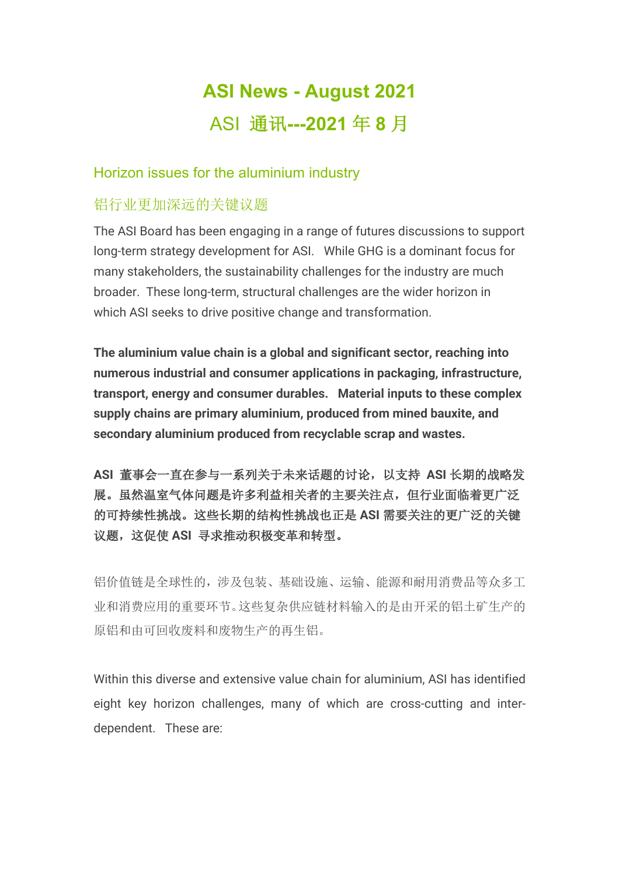# **ASI News - August 2021** ASI 通讯**---2021** 年 **8** 月

### Horizon issues for the aluminium industry

### 铝行业更加深远的关键议题

The ASI Board has been engaging in a range of futures discussions to support long-term strategy development for ASI. While GHG is a dominant focus for many stakeholders, the sustainability challenges for the industry are much broader. These long-term, structural challenges are the wider horizon in which ASI seeks to drive positive change and transformation.

**The aluminium value chain is a global and significant sector, reaching into numerous industrial and consumer applications in packaging, infrastructure, transport, energy and consumer durables. Material inputs to these complex supply chains are primary aluminium, produced from mined bauxite, and secondary aluminium produced from recyclable scrap and wastes.**

**ASI** 董事会一直在参与一系列关于未来话题的讨论,以支持 **ASI** 长期的战略发 展。虽然温室气体问题是许多利益相关者的主要关注点,但行业面临着更广泛 的可持续性挑战。这些长期的结构性挑战也正是 **ASI** 需要关注的更广泛的关键 议题,这促使 **ASI** 寻求推动积极变革和转型。

铝价值链是全球性的,涉及包装、基础设施、运输、能源和耐用消费品等众多工 业和消费应用的重要环节。这些复杂供应链材料输入的是由开采的铝土矿生产的 原铝和由可回收废料和废物生产的再生铝。

Within this diverse and extensive value chain for aluminium, ASI has identified eight key horizon challenges, many of which are cross-cutting and interdependent. These are: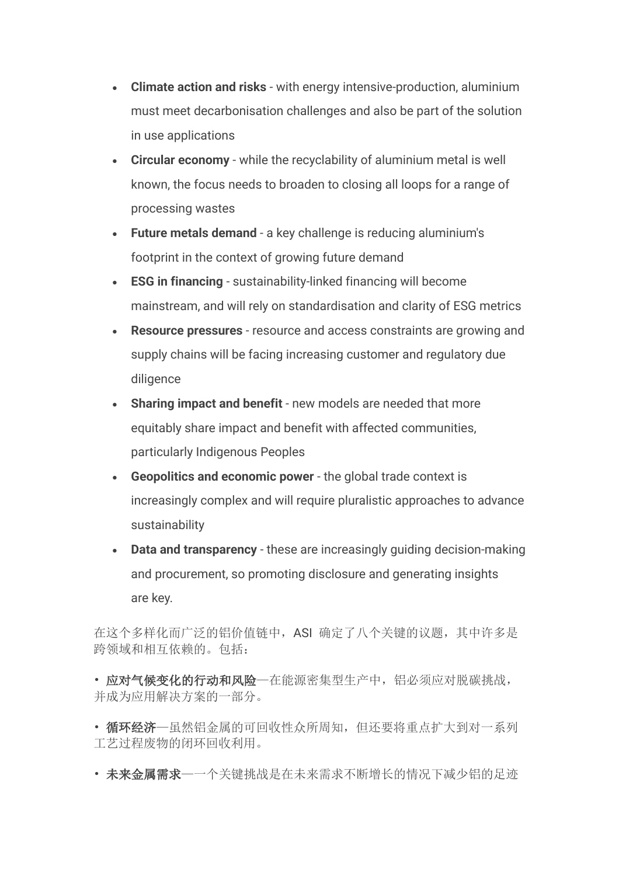- **Climate action and risks** with energy intensive-production, aluminium must meet decarbonisation challenges and also be part of the solution in use applications
- **Circular economy** while the recyclability of aluminium metal is well known, the focus needs to broaden to closing all loops for a range of processing wastes
- **Future metals demand** a key challenge is reducing aluminium's footprint in the context of growing future demand
- **ESG in financing** sustainability-linked financing will become mainstream, and will rely on standardisation and clarity of ESG metrics
- **Resource pressures** resource and access constraints are growing and supply chains will be facing increasing customer and regulatory due diligence
- **Sharing impact and benefit** new models are needed that more equitably share impact and benefit with affected communities, particularly Indigenous Peoples
- **Geopolitics and economic power** the global trade context is increasingly complex and will require pluralistic approaches to advance sustainability
- **Data and transparency** these are increasingly guiding decision-making and procurement, so promoting disclosure and generating insights are key.

在这个多样化而广泛的铝价值链中,ASI 确定了八个关键的议题,其中许多是 跨领域和相互依赖的。包括:

• 应对气候变化的行动和风险—在能源密集型生产中,铝必须应对脱碳挑战, 并成为应用解决方案的一部分。

- 循环经济一虽然铝金属的可回收性众所周知, 但还要将重点扩大到对一系列 工艺过程废物的闭环回收利用。
- 未来金属需求—一个关键挑战是在未来需求不断增长的情况下减少铝的足迹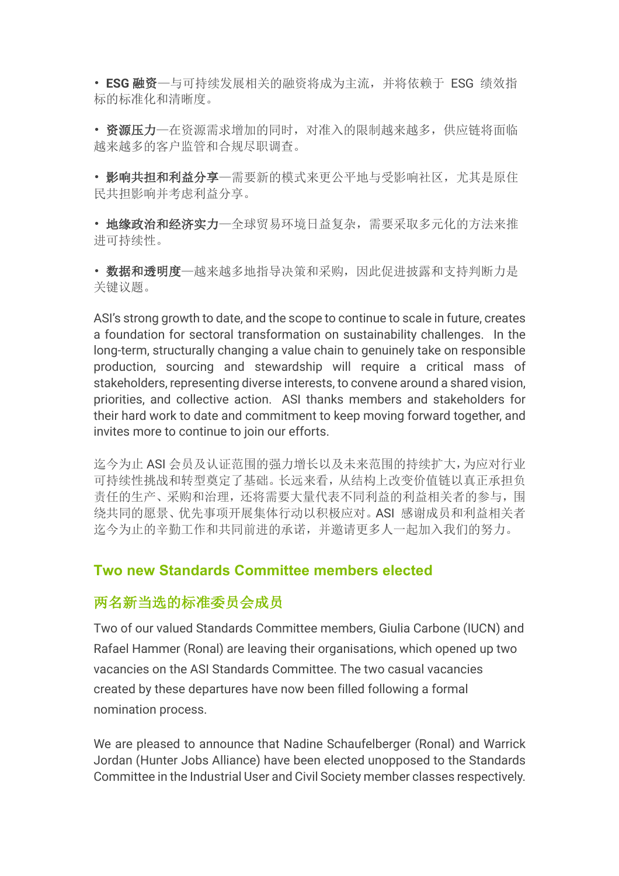• **ESG** 融资—与可持续发展相关的融资将成为主流,并将依赖于 ESG 绩效指 标的标准化和清晰度。

• 资源压力—在资源需求增加的同时,对准入的限制越来越多,供应链将面临 越来越多的客户监管和合规尽职调查。

• 影响共担和利益分享—需要新的模式来更公平地与受影响社区,尤其是原住 民共担影响并考虑利益分享。

• 地缘政治和经济实力—全球贸易环境日益复杂,需要采取多元化的方法来推 进可持续性。

• 数据和透明度—越来越多地指导决策和采购,因此促进披露和支持判断力是 关键议题。

ASI's strong growth to date, and the scope to continue to scale in future, creates a foundation for sectoral transformation on sustainability challenges. In the long-term, structurally changing a value chain to genuinely take on responsible production, sourcing and stewardship will require a critical mass of stakeholders, representing diverse interests, to convene around a shared vision, priorities, and collective action. ASI thanks members and stakeholders for their hard work to date and commitment to keep moving forward together, and invites more to continue to join our efforts.

迄今为止 ASI 会员及认证范围的强力增长以及未来范围的持续扩大,为应对行业 可持续性挑战和转型奠定了基础。长远来看,从结构上改变价值链以真正承担负 责任的生产、采购和治理,还将需要大量代表不同利益的利益相关者的参与,围 绕共同的愿景、优先事项开展集体行动以积极应对。ASI 感谢成员和利益相关者 迄今为止的辛勤工作和共同前进的承诺,并邀请更多人一起加入我们的努力。

### **Two new Standards Committee members elected**

### 两名新当选的标准委员会成员

Two of our valued Standards Committee members, Giulia Carbone (IUCN) and Rafael Hammer (Ronal) are leaving their organisations, which opened up two vacancies on the ASI Standards Committee. The two casual vacancies created by these departures have now been filled following a formal nomination process.

We are pleased to announce that Nadine Schaufelberger (Ronal) and Warrick Jordan (Hunter Jobs Alliance) have been elected unopposed to the Standards Committee in the Industrial User and Civil Society member classes respectively.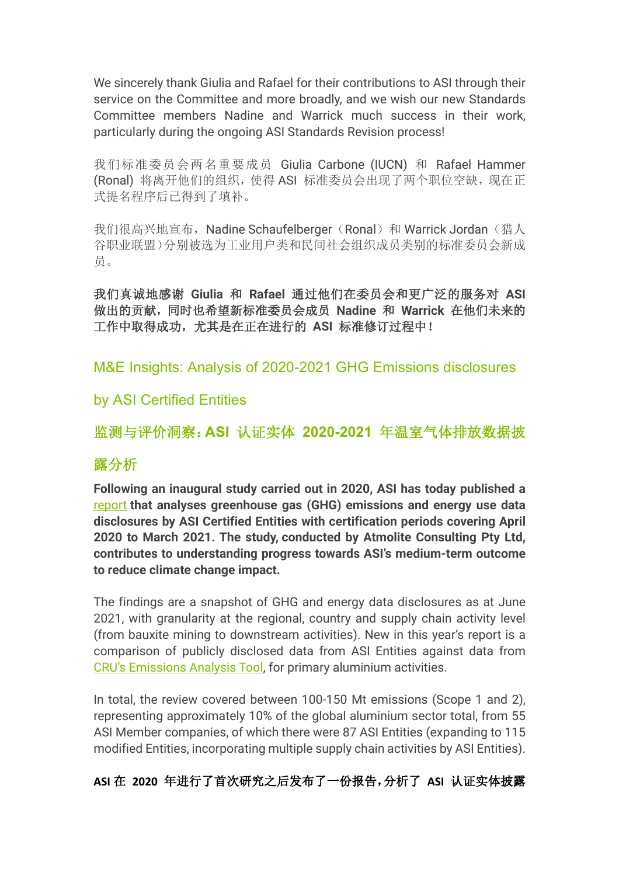We sincerely thank Giulia and Rafael for their contributions to ASI through their service on the Committee and more broadly, and we wish our new Standards Committee members Nadine and Warrick much success in their work, particularly during the ongoing ASI Standards Revision process!

我们标准委员会两名重要成员 Giulia Carbone (IUCN) 和 Rafael Hammer (Ronal) 将离开他们的组织, 使得 ASI 标准委员会出现了两个职位空缺, 现在正 式提名程序后已得到了填补。

我们很高兴地宣布, Nadine Schaufelberger(Ronal)和 Warrick Jordan(猎人 谷职业联盟)分别被选为工业用户类和民间社会组织成员类别的标准委员会新成 员。

我们真诚地感谢 **Giulia** 和 **Rafael** 通过他们在委员会和更广泛的服务对 **ASI**  做出的贡献,同时也希望新标准委员会成员 **Nadine** 和 **Warrick** 在他们未来的 工作中取得成功,尤其是在正在进行的 **ASI** 标准修订过程中!

M&E Insights: Analysis of 2020-2021 GHG Emissions disclosures

### by ASI Certified Entities

监测与评价洞察:**ASI** 认证实体 **2020-2021** 年温室气体排放数据披

## 露分析

**Following an inaugural study carried out in 2020, ASI has today published a**  report **that analyses greenhouse gas (GHG) emissions and energy use data disclosures by ASI Certified Entities with certification periods covering April 2020 to March 2021. The study, conducted by Atmolite Consulting Pty Ltd, contributes to understanding progress towards ASI's medium-term outcome to reduce climate change impact.**

The findings are a snapshot of GHG and energy data disclosures as at June 2021, with granularity at the regional, country and supply chain activity level (from bauxite mining to downstream activities). New in this year's report is a comparison of publicly disclosed data from ASI Entities against data from CRU's Emissions Analysis Tool, for primary aluminium activities.

In total, the review covered between 100-150 Mt emissions (Scope 1 and 2), representing approximately 10% of the global aluminium sector total, from 55 ASI Member companies, of which there were 87 ASI Entities (expanding to 115 modified Entities, incorporating multiple supply chain activities by ASI Entities).

### **ASI** 在 **2020** 年进行了首次研究之后发布了一份报告,分析了 **ASI** 认证实体披露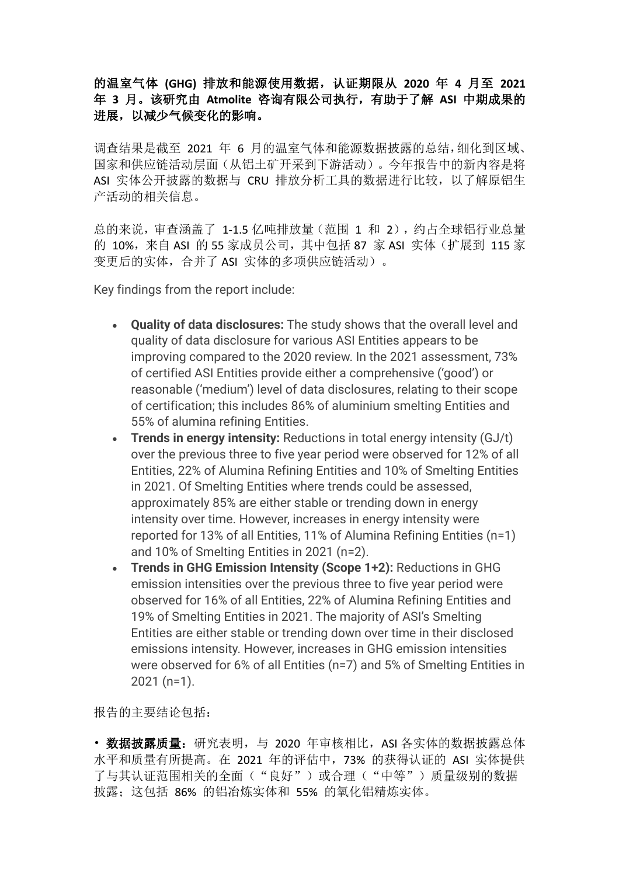#### 的温室气体 **(GHG)** 排放和能源使用数据,认证期限从 **2020** 年 **4** 月至 **2021**  年 **3** 月。该研究由 **Atmolite** 咨询有限公司执行,有助于了解 **ASI** 中期成果的 进展,以减少气候变化的影响。

调查结果是截至 2021 年 6 月的温室气体和能源数据披露的总结,细化到区域、 国家和供应链活动层面(从铝土矿开采到下游活动)。今年报告中的新内容是将 ASI 实体公开披露的数据与 CRU 排放分析工具的数据进行比较, 以了解原铝生 产活动的相关信息。

总的来说,审查涵盖了 1-1.5 亿吨排放量(范围 1 和 2),约占全球铝行业总量 的 10%,来自 ASI 的 55 家成员公司,其中包括 87 家 ASI 实体(扩展到 115 家 变更后的实体,合并了 ASI 实体的多项供应链活动)。

Key findings from the report include:

- **Quality of data disclosures:** The study shows that the overall level and quality of data disclosure for various ASI Entities appears to be improving compared to the 2020 review. In the 2021 assessment, 73% of certified ASI Entities provide either a comprehensive ('good') or reasonable ('medium') level of data disclosures, relating to their scope of certification; this includes 86% of aluminium smelting Entities and 55% of alumina refining Entities.
- **Trends in energy intensity:** Reductions in total energy intensity (GJ/t) over the previous three to five year period were observed for 12% of all Entities, 22% of Alumina Refining Entities and 10% of Smelting Entities in 2021. Of Smelting Entities where trends could be assessed, approximately 85% are either stable or trending down in energy intensity over time. However, increases in energy intensity were reported for 13% of all Entities, 11% of Alumina Refining Entities (n=1) and 10% of Smelting Entities in 2021 (n=2).
- **Trends in GHG Emission Intensity (Scope 1+2):** Reductions in GHG emission intensities over the previous three to five year period were observed for 16% of all Entities, 22% of Alumina Refining Entities and 19% of Smelting Entities in 2021. The majority of ASI's Smelting Entities are either stable or trending down over time in their disclosed emissions intensity. However, increases in GHG emission intensities were observed for 6% of all Entities (n=7) and 5% of Smelting Entities in 2021 (n=1).

报告的主要结论包括:

• 数据披露质量: 研究表明, 与 2020 年审核相比, ASI 各实体的数据披露总体 水平和质量有所提高。在 2021 年的评估中,73% 的获得认证的 ASI 实体提供 了与其认证范围相关的全面("良好")或合理("中等")质量级别的数据 披露: 这包括 86% 的铝冶炼实体和 55% 的氧化铝精炼实体。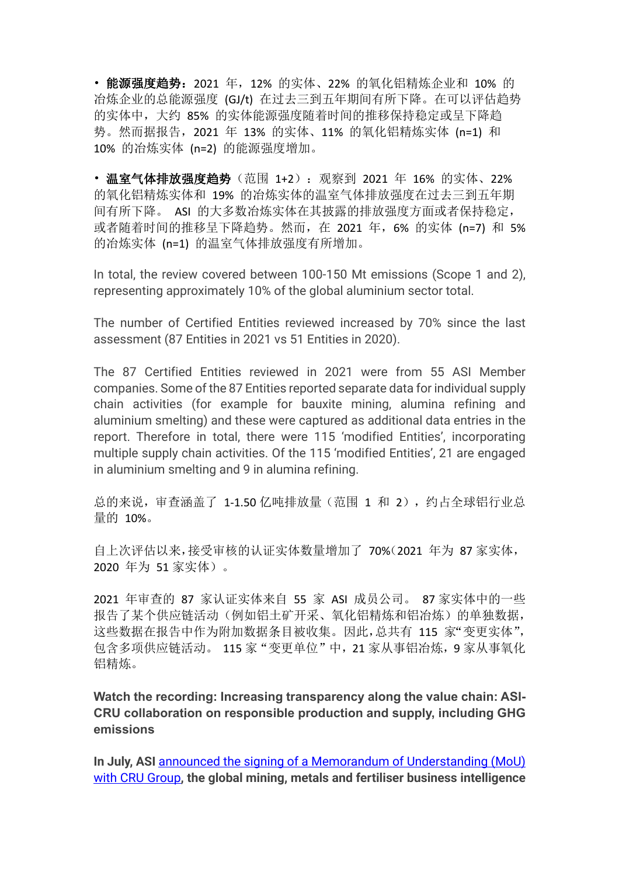• 能源强度趋势:2021 年,12% 的实体、22% 的氧化铝精炼企业和 10% 的 冶炼企业的总能源强度 (GJ/t) 在过去三到五年期间有所下降。在可以评估趋势 的实体中,大约 85% 的实体能源强度随着时间的推移保持稳定或呈下降趋 势。然而据报告,2021 年 13% 的实体、11% 的氧化铝精炼实体 (n=1) 和 10% 的冶炼实体 (n=2) 的能源强度增加。

• 温室气体排放强度趋势(范围 1+2): 观察到 2021 年 16% 的实体、22% 的氧化铝精炼实体和 19% 的冶炼实体的温室气体排放强度在过去三到五年期 间有所下降。 ASI 的大多数冶炼实体在其披露的排放强度方面或者保持稳定, 或者随着时间的推移呈下降趋势。然而,在 2021 年,6% 的实体 (n=7) 和 5% 的冶炼实体 (n=1) 的温室气体排放强度有所增加。

In total, the review covered between 100-150 Mt emissions (Scope 1 and 2), representing approximately 10% of the global aluminium sector total.

The number of Certified Entities reviewed increased by 70% since the last assessment (87 Entities in 2021 vs 51 Entities in 2020).

The 87 Certified Entities reviewed in 2021 were from 55 ASI Member companies. Some of the 87 Entities reported separate data for individual supply chain activities (for example for bauxite mining, alumina refining and aluminium smelting) and these were captured as additional data entries in the report. Therefore in total, there were 115 'modified Entities', incorporating multiple supply chain activities. Of the 115 'modified Entities', 21 are engaged in aluminium smelting and 9 in alumina refining.

总的来说,审查涵盖了 1-1.50 亿吨排放量(范围 1 和 2),约占全球铝行业总 量的 10%。

自上次评估以来,接受审核的认证实体数量增加了 70%(2021 年为 87 家实体, 2020 年为 51 家实体)。

2021 年审查的 87 家认证实体来自 55 家 ASI 成员公司。 87 家实体中的一些 报告了某个供应链活动(例如铝土矿开采、氧化铝精炼和铝冶炼)的单独数据, 这些数据在报告中作为附加数据条目被收集。因此,总共有 115 家"变更实体", 包含多项供应链活动。 115 家"变更单位"中, 21 家从事铝冶炼, 9 家从事氧化 铝精炼。

**Watch the recording: Increasing transparency along the value chain: ASI-CRU collaboration on responsible production and supply, including GHG emissions**

**In July, ASI** announced the signing of a Memorandum of Understanding (MoU) with CRU Group**, the global mining, metals and fertiliser business intelligence**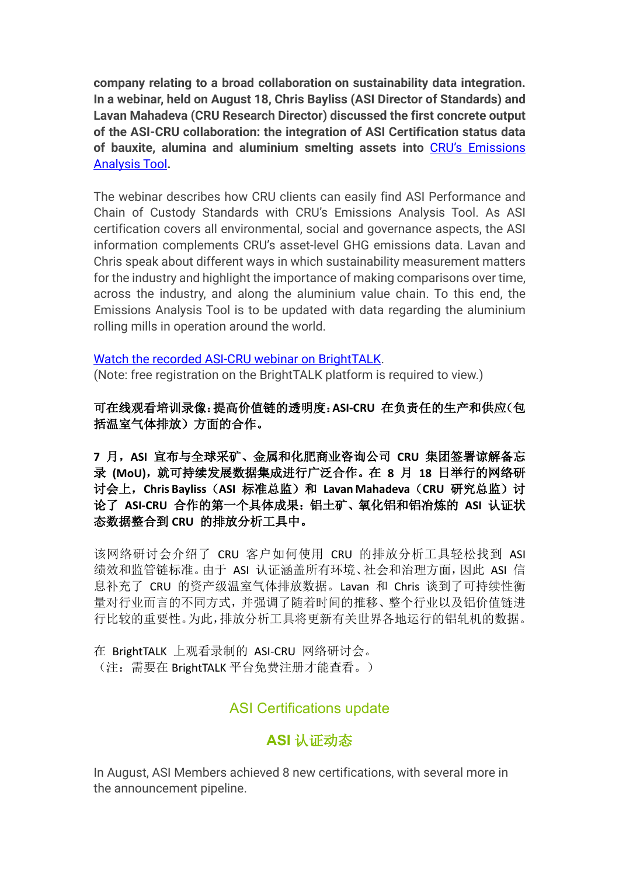**company relating to a broad collaboration on sustainability data integration. In a webinar, held on August 18, Chris Bayliss (ASI Director of Standards) and Lavan Mahadeva (CRU Research Director) discussed the first concrete output of the ASI-CRU collaboration: the integration of ASI Certification status data of bauxite, alumina and aluminium smelting assets into** CRU's Emissions Analysis Tool**.**

The webinar describes how CRU clients can easily find ASI Performance and Chain of Custody Standards with CRU's Emissions Analysis Tool. As ASI certification covers all environmental, social and governance aspects, the ASI information complements CRU's asset-level GHG emissions data. Lavan and Chris speak about different ways in which sustainability measurement matters for the industry and highlight the importance of making comparisons over time, across the industry, and along the aluminium value chain. To this end, the Emissions Analysis Tool is to be updated with data regarding the aluminium rolling mills in operation around the world.

#### Watch the recorded ASI-CRU webinar on BrightTALK.

(Note: free registration on the BrightTALK platform is required to view.)

可在线观看培训录像:提高价值链的透明度:**ASI-CRU** 在负责任的生产和供应(包 括温室气体排放)方面的合作。

**7** 月,**ASI** 宣布与全球采矿、金属和化肥商业咨询公司 **CRU** 集团签署谅解备忘 录 **(MoU)**,就可持续发展数据集成进行广泛合作。在 **8** 月 **18** 日举行的网络研 讨会上,**Chris Bayliss**(**ASI** 标准总监)和 **Lavan Mahadeva**(**CRU** 研究总监)讨 论了 **ASI-CRU** 合作的第一个具体成果:铝土矿、氧化铝和铝冶炼的 **ASI** 认证状 态数据整合到 **CRU** 的排放分析工具中。

该网络研讨会介绍了 CRU 客户如何使用 CRU 的排放分析工具轻松找到 ASI 绩效和监管链标准。由于 ASI 认证涵盖所有环境、社会和治理方面,因此 ASI 信 息补充了 CRU 的资产级温室气体排放数据。Lavan 和 Chris 谈到了可持续性衡 量对行业而言的不同方式,并强调了随着时间的推移、整个行业以及铝价值链进 行比较的重要性。为此,排放分析工具将更新有关世界各地运行的铝轧机的数据。

在 BrightTALK 上观看录制的 ASI-CRU 网络研讨会。 (注:需要在 BrightTALK 平台免费注册才能查看。)

## ASI Certifications update

## **ASI** 认证动态

In August, ASI Members achieved 8 new certifications, with several more in the announcement pipeline.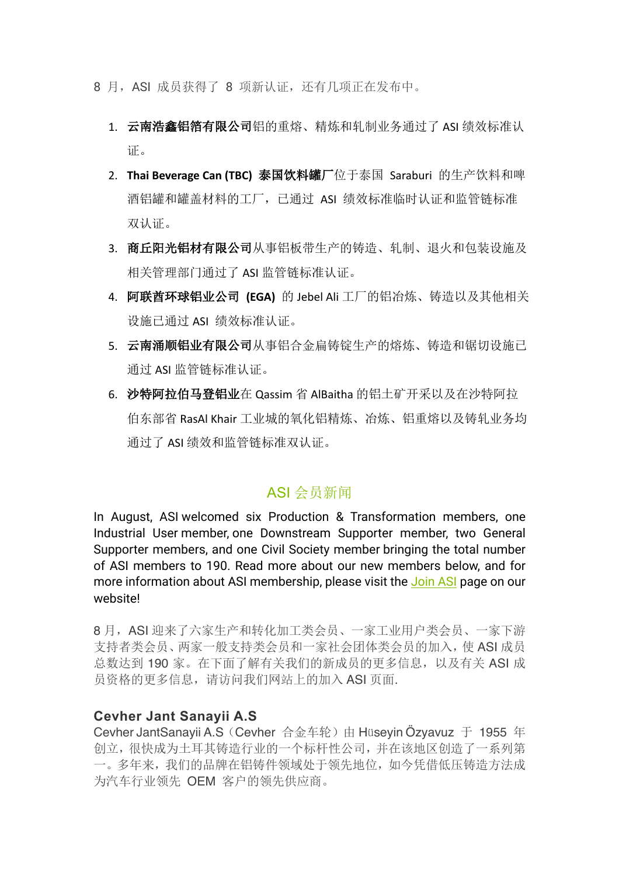- 8 月, ASI 成员获得了 8 项新认证, 还有几项正在发布中。
	- 1. 云南浩鑫铝箔有限公司铝的重熔、精炼和轧制业务通过了 ASI 绩效标准认 证。
	- 2. **Thai Beverage Can (TBC)** 泰国饮料罐厂位于泰国 Saraburi 的生产饮料和啤 酒铝罐和罐盖材料的工厂,已通过 ASI 绩效标准临时认证和监管链标准 双认证。
	- 3. 商丘阳光铝材有限公司从事铝板带生产的铸造、轧制、退火和包装设施及 相关管理部门通过了 ASI 监管链标准认证。
	- 4. 阿联酋环球铝业公司 **(EGA)** 的 Jebel Ali 工厂的铝冶炼、铸造以及其他相关 设施已通过 ASI 绩效标准认证。
	- 5. 云南涌顺铝业有限公司从事铝合金扁铸锭生产的熔炼、铸造和锯切设施已 通过 ASI 监管链标准认证。
	- 6. 沙特阿拉伯马登铝业在 Qassim 省 AlBaitha 的铝土矿开采以及在沙特阿拉 伯东部省 RasAl Khair 工业城的氧化铝精炼、冶炼、铝重熔以及铸轧业务均 通过了 ASI 绩效和监管链标准双认证。

### ASI 会员新闻

In August, ASI welcomed six Production & Transformation members, one Industrial User member, one Downstream Supporter member, two General Supporter members, and one Civil Society member bringing the total number of ASI members to 190. Read more about our new members below, and for more information about ASI membership, please visit the Join ASI page on our website!

8 月,ASI 迎来了六家生产和转化加工类会员、一家工业用户类会员、一家下游 支持者类会员、两家一般支持类会员和一家社会团体类会员的加入,使 ASI 成员 总数达到 190 家。在下面了解有关我们的新成员的更多信息, 以及有关 ASI 成 员资格的更多信息,请访问我们网站上的加入 ASI 页面.

#### **Cevher Jant Sanayii A.S**

Cevher JantSanayii A.S (Cevher 合金车轮) 由 Hüseyin Özyavuz 于 1955 年 创立,很快成为土耳其铸造行业的一个标杆性公司,并在该地区创造了一系列第 一。多年来,我们的品牌在铝铸件领域处于领先地位,如今凭借低压铸造方法成 为汽车行业领先 OEM 客户的领先供应商。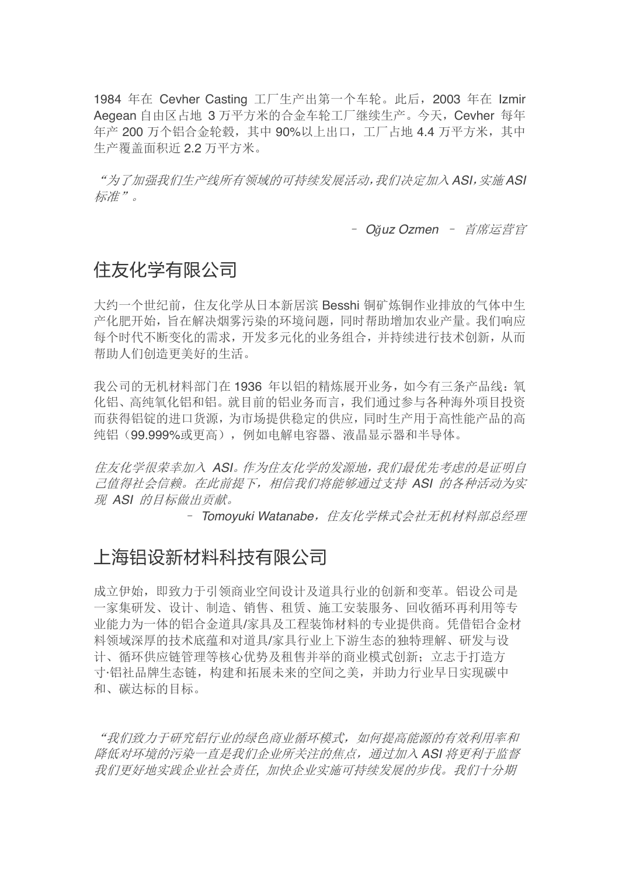1984 年在 Cevher Casting 工厂生产出第一个车轮。此后,2003 年在 Izmir Aegean 自由区占地 3 万平方米的合金车轮工厂继续生产。今天,Cevher 每年 年产 200 万个铝合金轮毂,其中 90%以上出口,工厂占地 4.4 万平方米,其中 生产覆盖面积近 2.2 万平方米。

"为了加强我们生产线所有领域的可持续发展活动,我们决定加入 *ASI*,实施 *ASI* 标准"。

– *Oğuz Ozmen* – 首席运营官

# 住友化学有限公司

大约一个世纪前,住友化学从日本新居滨 Besshi 铜矿炼铜作业排放的气体中生 产化肥开始,旨在解决烟雾污染的环境问题,同时帮助增加农业产量。我们响应 每个时代不断变化的需求,开发多元化的业务组合,并持续进行技术创新,从而 帮助人们创造更美好的生活。

我公司的无机材料部门在 1936 年以铝的精炼展开业务, 如今有三条产品线: 氧 化铝、高纯氧化铝和铝。就目前的铝业务而言,我们通过参与各种海外项目投资 而获得铝锭的进口货源,为市场提供稳定的供应,同时生产用于高性能产品的高 纯铝(99.999%或更高),例如电解电容器、液晶显示器和半导体。

住友化学很荣幸加入 *ASI*。作为住友化学的发源地,我们最优先考虑的是证明自 己值得社会信赖。在此前提下,相信我们将能够通过支持 *ASI* 的各种活动为实 现 *ASI* 的目标做出贡献。

- Tomoyuki Watanabe, 住友化学株式会社无机材料部总经理

# 上海铝设新材料科技有限公司

成立伊始,即致力于引领商业空间设计及道具行业的创新和变革。铝设公司是 一家集研发、设计、制造、销售、租赁、施工安装服务、回收循环再利用等专 业能力为一体的铝合金道具/家具及工程装饰材料的专业提供商。凭借铝合金材 料领域深厚的技术底蕴和对道具/家具行业上下游生态的独特理解、研发与设 计、循环供应链管理等核心优势及租售并举的商业模式创新;立志干打造方 寸·铝社品牌生态链,构建和拓展未来的空间之美,并助力行业早日实现碳中 和、碳达标的目标。

"我们致力于研究铝行业的绿色商业循环模式,如何提高能源的有效利用率和 降低对环境的污染一直是我们企业所关注的焦点,通过加入 *ASI* 将更利于监督 我们更好地实践企业社会责任*,* 加快企业实施可持续发展的步伐。我们十分期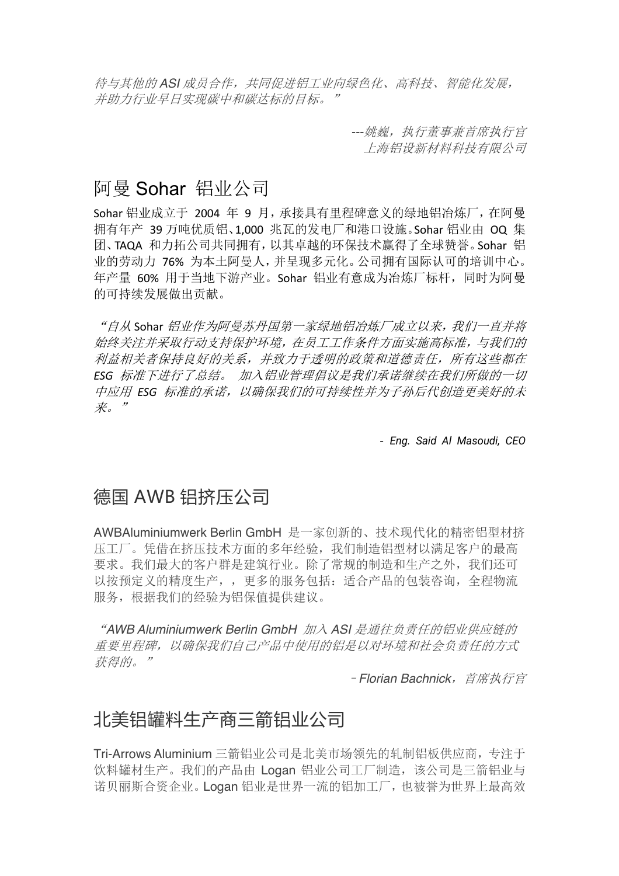待与其他的 *ASI* 成员合作,共同促进铝工业向绿色化、高科技、智能化发展, 并助力行业早日实现碳中和碳达标的目标。"

> *---*姚巍,执行董事兼首席执行官 上海铝设新材料科技有限公司

# 阿曼 Sohar 铝业公司

Sohar 铝业成立于 2004 年 9 月,承接具有里程碑意义的绿地铝冶炼厂,在阿曼 拥有年产 39 万吨优质铝、1,000 兆瓦的发电厂和港口设施。Sohar 铝业由 OQ 集 团、TAQA 和力拓公司共同拥有,以其卓越的环保技术赢得了全球赞誉。Sohar 铝 业的劳动力 76% 为本土阿曼人,并呈现多元化。公司拥有国际认可的培训中心。 年产量 60% 用于当地下游产业。Sohar 铝业有意成为冶炼厂标杆,同时为阿曼 的可持续发展做出贡献。

"自从 Sohar 铝业作为阿曼苏丹国第一家绿地铝冶炼厂成立以来,我们一直并将 始终关注并采取行动支持保护环境,在员工工作条件方面实施高标准,与我们的 利益相关者保持良好的关系,并致力于透明的政策和道德责任,所有这些都在 *ESG* 标准下进行了总结。 加入铝业管理倡议是我们承诺继续在我们所做的一切 中应用 *ESG* 标准的承诺,以确保我们的可持续性并为子孙后代创造更美好的未 来。"

*- Eng. Said Al Masoudi, CEO*

# 德国 AWB 铝挤压公司

AWBAluminiumwerk Berlin GmbH 是一家创新的、技术现代化的精密铝型材挤 压工厂。凭借在挤压技术方面的多年经验,我们制造铝型材以满足客户的最高 要求。我们最大的客户群是建筑行业。除了常规的制造和生产之外,我们还可 以按预定义的精度生产,,更多的服务包括:适合产品的包装咨询,全程物流 服务,根据我们的经验为铝保值提供建议。

"*AWB Aluminiumwerk Berlin GmbH* 加入 *ASI* 是通往负责任的铝业供应链的 重要里程碑,以确保我们自己产品中使用的铝是以对环境和社会负责任的方式 获得的。"

–*Florian Bachnick*,首席执行官

# 北美铝罐料生产商三箭铝业公司

Tri-Arrows Aluminium 三箭铝业公司是北美市场领先的轧制铝板供应商,专注于 饮料罐材生产。我们的产品由 Logan 铝业公司工厂制造,该公司是三箭铝业与 诺贝丽斯合资企业。Logan 铝业是世界一流的铝加工厂,也被誉为世界上最高效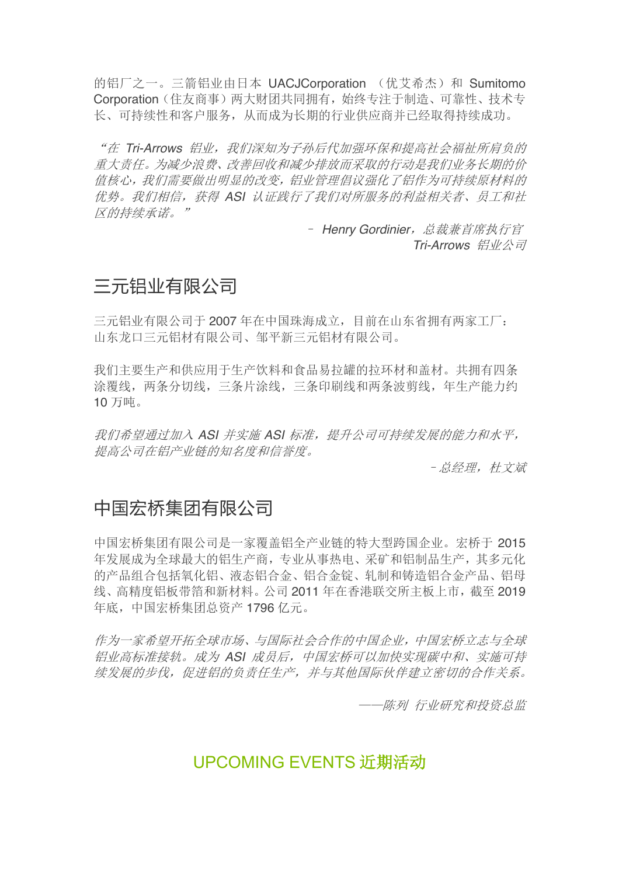的铝厂之一。三箭铝业由日本 UACJCorporation (优艾希杰) 和 Sumitomo Corporation(住友商事)两大财团共同拥有,始终专注于制造、可靠性、技术专 长、可持续性和客户服务,从而成为长期的行业供应商并已经取得持续成功。

"在 *Tri-Arrows* 铝业,我们深知为子孙后代加强环保和提高社会福祉所肩负的 重大责任。为减少浪费、改善回收和减少排放而采取的行动是我们业务长期的价 值核心,我们需要做出明显的改变,铝业管理倡议强化了铝作为可持续原材料的 优势。我们相信,获得 *ASI* 认证践行了我们对所服务的利益相关者、员工和社 区的持续承诺。"

> – *Henry Gordinier*,总裁兼首席执行官 *Tri-Arrows* 铝业公司

# 三元铝业有限公司

三元铝业有限公司于 2007 年在中国珠海成立,目前在山东省拥有两家工厂: 山东龙口三元铝材有限公司、邹平新三元铝材有限公司。

我们主要生产和供应用于生产饮料和食品易拉罐的拉环材和盖材。共拥有四条 涂覆线,两条分切线,三条片涂线,三条印刷线和两条波剪线,年生产能力约 10 万吨。

我们希望通过加入 *ASI* 并实施 *ASI* 标准,提升公司可持续发展的能力和水平, 提高公司在铝产业链的知名度和信誉度。

–总经理,杜文斌

# 中国宏桥集团有限公司

中国宏桥集团有限公司是一家覆盖铝全产业链的特大型跨国企业。宏桥于 2015 年发展成为全球最大的铝生产商,专业从事热电、采矿和铝制品生产,其多元化 的产品组合包括氧化铝、液态铝合金、铝合金锭、轧制和铸造铝合金产品、铝母 线、高精度铝板带箔和新材料。公司 2011 年在香港联交所主板上市,截至 2019 年底,中国宏桥集团总资产 1796 亿元。

作为一家希望开拓全球市场、与国际社会合作的中国企业,中国宏桥立志与全球 铝业高标准接轨。成为 *ASI* 成员后,中国宏桥可以加快实现碳中和、实施可持 续发展的步伐,促进铝的负责任生产,并与其他国际伙伴建立密切的合作关系。

——陈列 行业研究和投资总监

# UPCOMING EVENTS 近期活动